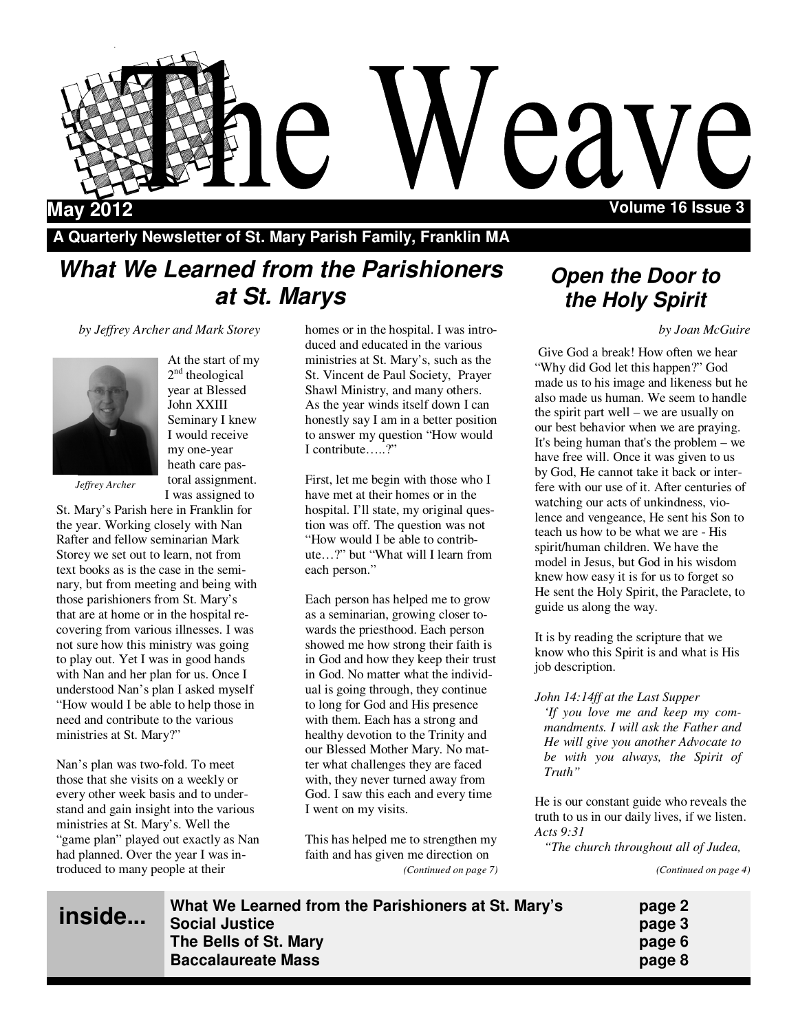

**A Quarterly Newsletter of St. Mary Parish Family, Franklin MA** 

## **What We Learned from the Parishioners at St. Marys**

*by Jeffrey Archer and Mark Storey*

At the start of my 2<sup>nd</sup> theological year at Blessed John XXIII Seminary I knew I would receive my one-year heath care pastoral assignment.



*Jeffrey Archer* 

I was assigned to St. Mary's Parish here in Franklin for the year. Working closely with Nan Rafter and fellow seminarian Mark Storey we set out to learn, not from text books as is the case in the seminary, but from meeting and being with those parishioners from St. Mary's that are at home or in the hospital recovering from various illnesses. I was not sure how this ministry was going to play out. Yet I was in good hands with Nan and her plan for us. Once I understood Nan's plan I asked myself "How would I be able to help those in need and contribute to the various ministries at St. Mary?"

Nan's plan was two-fold. To meet those that she visits on a weekly or every other week basis and to understand and gain insight into the various ministries at St. Mary's. Well the "game plan" played out exactly as Nan had planned. Over the year I was introduced to many people at their

<u>in</u>

homes or in the hospital. I was introduced and educated in the various ministries at St. Mary's, such as the St. Vincent de Paul Society, Prayer Shawl Ministry, and many others. As the year winds itself down I can honestly say I am in a better position to answer my question "How would I contribute…..?"

First, let me begin with those who I have met at their homes or in the hospital. I'll state, my original question was off. The question was not "How would I be able to contribute…?" but "What will I learn from each person."

Each person has helped me to grow as a seminarian, growing closer towards the priesthood. Each person showed me how strong their faith is in God and how they keep their trust in God. No matter what the individual is going through, they continue to long for God and His presence with them. Each has a strong and healthy devotion to the Trinity and our Blessed Mother Mary. No matter what challenges they are faced with, they never turned away from God. I saw this each and every time I went on my visits.

This has helped me to strengthen my faith and has given me direction on *(Continued on page 7)* 

## **Open the Door to the Holy Spirit**

*by Joan McGuire*

 Give God a break! How often we hear "Why did God let this happen?" God made us to his image and likeness but he also made us human. We seem to handle the spirit part well – we are usually on our best behavior when we are praying. It's being human that's the problem – we have free will. Once it was given to us by God, He cannot take it back or interfere with our use of it. After centuries of watching our acts of unkindness, violence and vengeance, He sent his Son to teach us how to be what we are - His spirit/human children. We have the model in Jesus, but God in his wisdom knew how easy it is for us to forget so He sent the Holy Spirit, the Paraclete, to guide us along the way.

It is by reading the scripture that we know who this Spirit is and what is His job description.

*John 14:14ff at the Last Supper 'If you love me and keep my commandments. I will ask the Father and He will give you another Advocate to be with you always, the Spirit of Truth"* 

He is our constant guide who reveals the truth to us in our daily lives, if we listen. *Acts 9:31* 

*"The church throughout all of Judea,* 

*(Continued on page 4)* 

| What We Learned from the Parishioners at St. Mary's<br>side<br><b>Social Justice</b><br>The Bells of St. Mary<br><b>Baccalaureate Mass</b> | page 2<br>page 3<br>page 6<br>page 8 |
|--------------------------------------------------------------------------------------------------------------------------------------------|--------------------------------------|
|--------------------------------------------------------------------------------------------------------------------------------------------|--------------------------------------|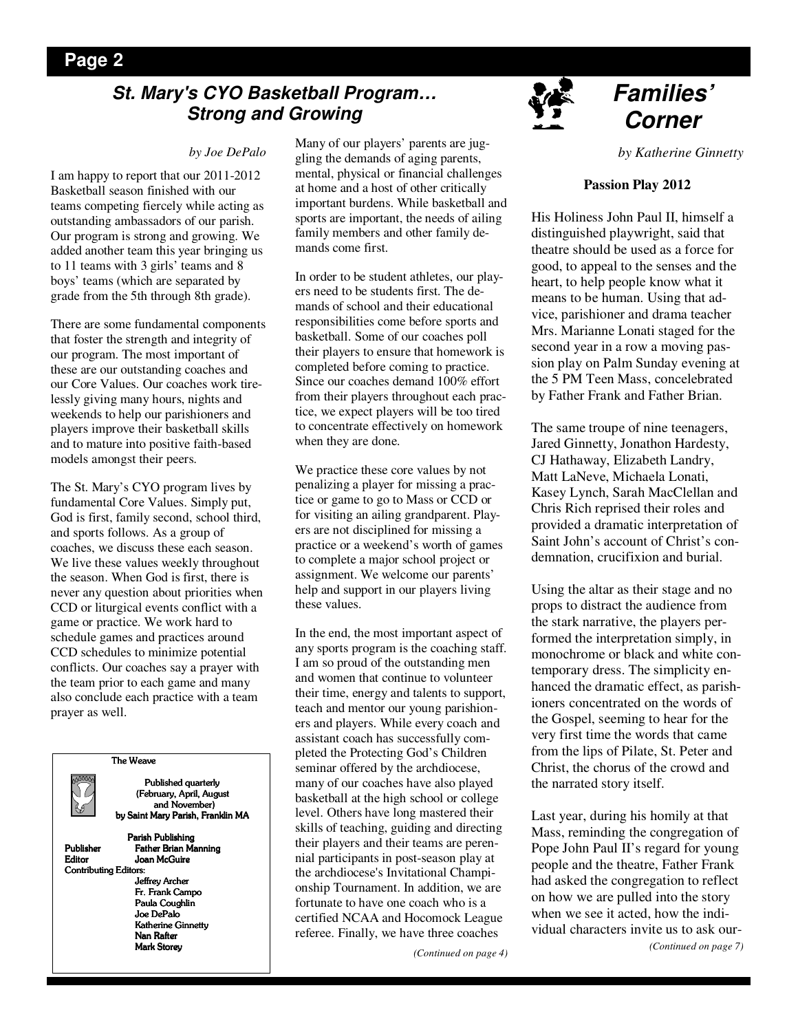## **Page 2**

## **St. Mary's CYO Basketball Program… Strong and Growing**

#### *by Joe DePalo*

I am happy to report that our 2011-2012 Basketball season finished with our teams competing fiercely while acting as outstanding ambassadors of our parish. Our program is strong and growing. We added another team this year bringing us to 11 teams with 3 girls' teams and 8 boys' teams (which are separated by grade from the 5th through 8th grade).

There are some fundamental components that foster the strength and integrity of our program. The most important of these are our outstanding coaches and our Core Values. Our coaches work tirelessly giving many hours, nights and weekends to help our parishioners and players improve their basketball skills and to mature into positive faith-based models amongst their peers.

The St. Mary's CYO program lives by fundamental Core Values. Simply put, God is first, family second, school third, and sports follows. As a group of coaches, we discuss these each season. We live these values weekly throughout the season. When God is first, there is never any question about priorities when CCD or liturgical events conflict with a game or practice. We work hard to schedule games and practices around CCD schedules to minimize potential conflicts. Our coaches say a prayer with the team prior to each game and many also conclude each practice with a team prayer as well.



Many of our players' parents are juggling the demands of aging parents, mental, physical or financial challenges at home and a host of other critically important burdens. While basketball and sports are important, the needs of ailing family members and other family demands come first.

In order to be student athletes, our players need to be students first. The demands of school and their educational responsibilities come before sports and basketball. Some of our coaches poll their players to ensure that homework is completed before coming to practice. Since our coaches demand 100% effort from their players throughout each practice, we expect players will be too tired to concentrate effectively on homework when they are done.

We practice these core values by not penalizing a player for missing a practice or game to go to Mass or CCD or for visiting an ailing grandparent. Players are not disciplined for missing a practice or a weekend's worth of games to complete a major school project or assignment. We welcome our parents' help and support in our players living these values.

In the end, the most important aspect of any sports program is the coaching staff. I am so proud of the outstanding men and women that continue to volunteer their time, energy and talents to support, teach and mentor our young parishioners and players. While every coach and assistant coach has successfully completed the Protecting God's Children seminar offered by the archdiocese, many of our coaches have also played basketball at the high school or college level. Others have long mastered their skills of teaching, guiding and directing their players and their teams are perennial participants in post-season play at the archdiocese's Invitational Championship Tournament. In addition, we are fortunate to have one coach who is a certified NCAA and Hocomock League referee. Finally, we have three coaches

*(Continued on page 4)* 



## **Families' Corner**

*by Katherine Ginnetty* 

#### **Passion Play 2012**

His Holiness John Paul II, himself a distinguished playwright, said that theatre should be used as a force for good, to appeal to the senses and the heart, to help people know what it means to be human. Using that advice, parishioner and drama teacher Mrs. Marianne Lonati staged for the second year in a row a moving passion play on Palm Sunday evening at the 5 PM Teen Mass, concelebrated by Father Frank and Father Brian.

The same troupe of nine teenagers, Jared Ginnetty, Jonathon Hardesty, CJ Hathaway, Elizabeth Landry, Matt LaNeve, Michaela Lonati, Kasey Lynch, Sarah MacClellan and Chris Rich reprised their roles and provided a dramatic interpretation of Saint John's account of Christ's condemnation, crucifixion and burial.

Using the altar as their stage and no props to distract the audience from the stark narrative, the players performed the interpretation simply, in monochrome or black and white contemporary dress. The simplicity enhanced the dramatic effect, as parishioners concentrated on the words of the Gospel, seeming to hear for the very first time the words that came from the lips of Pilate, St. Peter and Christ, the chorus of the crowd and the narrated story itself.

Last year, during his homily at that Mass, reminding the congregation of Pope John Paul II's regard for young people and the theatre, Father Frank had asked the congregation to reflect on how we are pulled into the story when we see it acted, how the individual characters invite us to ask our- *(Continued on page 7)*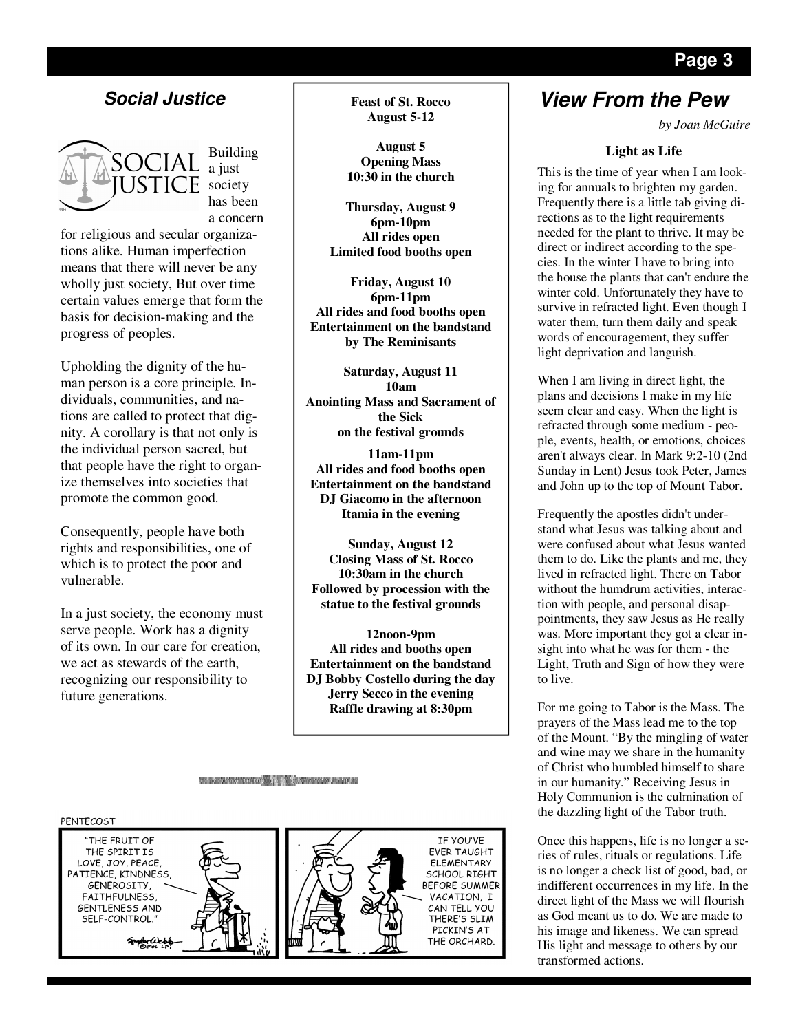

progress of peoples.

a concern for religious and secular organizations alike. Human imperfection means that there will never be any wholly just society, But over time certain values emerge that form the basis for decision-making and the

Upholding the dignity of the human person is a core principle. Individuals, communities, and nations are called to protect that dignity. A corollary is that not only is the individual person sacred, but that people have the right to organize themselves into societies that promote the common good.

Consequently, people have both rights and responsibilities, one of which is to protect the poor and vulnerable.

In a just society, the economy must serve people. Work has a dignity of its own. In our care for creation, we act as stewards of the earth, recognizing our responsibility to future generations.

**August 5-12** 

**August 5 Opening Mass 10:30 in the church** 

**Thursday, August 9 6pm-10pm All rides open Limited food booths open** 

**Friday, August 10 6pm-11pm All rides and food booths open Entertainment on the bandstand by The Reminisants** 

**Saturday, August 11 10am Anointing Mass and Sacrament of the Sick on the festival grounds** 

**11am-11pm All rides and food booths open Entertainment on the bandstand DJ Giacomo in the afternoon Itamia in the evening** 

**Sunday, August 12 Closing Mass of St. Rocco 10:30am in the church Followed by procession with the statue to the festival grounds** 

**12noon-9pm All rides and booths open Entertainment on the bandstand DJ Bobby Costello during the day Jerry Secco in the evening Raffle drawing at 8:30pm**

**MARIE AND MOTOR CONTROL AND STREET AND ARREST AND A** 



## **Social Justice Feast of St. Rocco View From the Pew**

*by Joan McGuire* 

#### **Light as Life**

This is the time of year when I am looking for annuals to brighten my garden. Frequently there is a little tab giving directions as to the light requirements needed for the plant to thrive. It may be direct or indirect according to the species. In the winter I have to bring into the house the plants that can't endure the winter cold. Unfortunately they have to survive in refracted light. Even though I water them, turn them daily and speak words of encouragement, they suffer light deprivation and languish.

When I am living in direct light, the plans and decisions I make in my life seem clear and easy. When the light is refracted through some medium - people, events, health, or emotions, choices aren't always clear. In Mark 9:2-10 (2nd Sunday in Lent) Jesus took Peter, James and John up to the top of Mount Tabor.

Frequently the apostles didn't understand what Jesus was talking about and were confused about what Jesus wanted them to do. Like the plants and me, they lived in refracted light. There on Tabor without the humdrum activities, interaction with people, and personal disappointments, they saw Jesus as He really was. More important they got a clear insight into what he was for them - the Light, Truth and Sign of how they were to live.

For me going to Tabor is the Mass. The prayers of the Mass lead me to the top of the Mount. "By the mingling of water and wine may we share in the humanity of Christ who humbled himself to share in our humanity." Receiving Jesus in Holy Communion is the culmination of the dazzling light of the Tabor truth.

Once this happens, life is no longer a series of rules, rituals or regulations. Life is no longer a check list of good, bad, or indifferent occurrences in my life. In the direct light of the Mass we will flourish as God meant us to do. We are made to his image and likeness. We can spread His light and message to others by our transformed actions.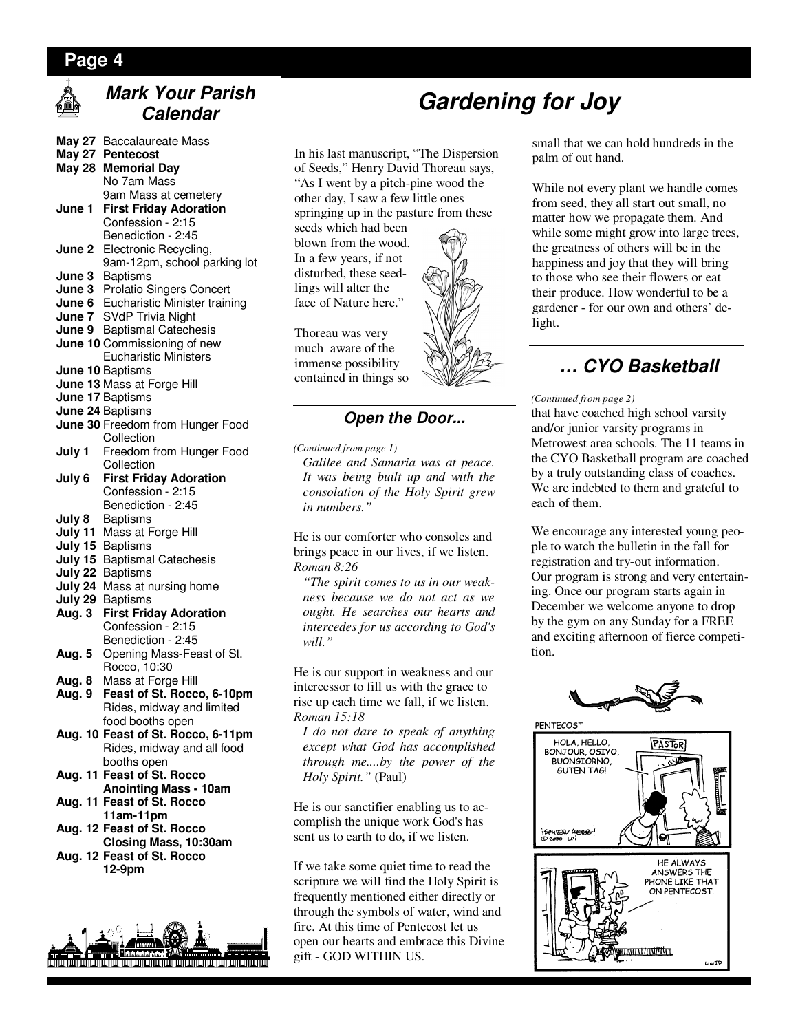## **Page 4**



## **Mark Your Parish Calendar**

| <b>May 27</b>      | <b>Baccalaureate Mass</b>                        |
|--------------------|--------------------------------------------------|
| <b>May 27</b>      | <b>Pentecost</b>                                 |
| <b>May 28</b>      | <b>Memorial Day</b>                              |
|                    | No 7am Mass                                      |
|                    | 9am Mass at cemetery                             |
| June 1             | <b>First Friday Adoration</b>                    |
|                    | Confession - 2:15                                |
|                    | Benediction - 2:45                               |
| June 2             | Electronic Recycling,                            |
|                    | 9am-12pm, school parking lot                     |
| June 3             | <b>Baptisms</b>                                  |
| June 3             | Prolatio Singers Concert                         |
| June 6             | Eucharistic Minister training                    |
| June 7             | <b>SVdP Trivia Night</b>                         |
| June 9             | <b>Baptismal Catechesis</b>                      |
|                    | June 10 Commissioning of new                     |
|                    | <b>Eucharistic Ministers</b>                     |
|                    | June 10 Baptisms                                 |
|                    | June 13 Mass at Forge Hill                       |
|                    | June 17 Baptisms                                 |
|                    | June 24 Baptisms                                 |
|                    | June 30 Freedom from Hunger Food                 |
|                    | Collection                                       |
| July 1             | Freedom from Hunger Food                         |
|                    | Collection                                       |
| July 6             | <b>First Friday Adoration</b>                    |
|                    | Confession - 2:15                                |
|                    | Benediction - 2:45                               |
| July 8             | <b>Baptisms</b>                                  |
| July 11            | Mass at Forge Hill                               |
| July 15            | <b>Baptisms</b>                                  |
| July 15            | <b>Baptismal Catechesis</b>                      |
| July 22<br>July 24 | <b>Baptisms</b>                                  |
| July 29            | Mass at nursing home                             |
| Aug. 3             | <b>Baptisms</b><br><b>First Friday Adoration</b> |
|                    | Confession - 2:15                                |
|                    | Benediction - 2:45                               |
| Aug. 5             | Opening Mass-Feast of St.                        |
|                    | Rocco, 10:30                                     |
| Aug. 8             | Mass at Forge Hill                               |
| Aug. 9             | Feast of St. Rocco, 6-10pm                       |
|                    | Rides, midway and limited                        |
|                    | food booths open                                 |
|                    | $\mathbf{1}$ $\mathbf{1}$ $\mathbf{0}$<br>.      |

- **Aug. 10 Feast of St. Rocco, 6-11pm**  Rides, midway and all food booths open
- **Aug. 11 Feast of St. Rocco Anointing Mass - 10am**
- **Aug. 11 Feast of St. Rocco 11am-11pm**
- **Aug. 12 Feast of St. Rocco Closing Mass, 10:30am Aug. 12 Feast of St. Rocco**
- **12-9pm**



In his last manuscript, "The Dispersion of Seeds," Henry David Thoreau says, "As I went by a pitch-pine wood the other day, I saw a few little ones springing up in the pasture from these

seeds which had been blown from the wood. In a few years, if not disturbed, these seedlings will alter the face of Nature here."

Thoreau was very much aware of the immense possibility contained in things so

### **Open the Door...**

*(Continued from page 1)* 

*Galilee and Samaria was at peace. It was being built up and with the consolation of the Holy Spirit grew in numbers."* 

He is our comforter who consoles and brings peace in our lives, if we listen. *Roman 8:26* 

*"The spirit comes to us in our weakness because we do not act as we ought. He searches our hearts and intercedes for us according to God's will."* 

He is our support in weakness and our intercessor to fill us with the grace to rise up each time we fall, if we listen. *Roman 15:18* 

*I do not dare to speak of anything except what God has accomplished through me....by the power of the Holy Spirit."* (Paul)

He is our sanctifier enabling us to accomplish the unique work God's has sent us to earth to do, if we listen.

If we take some quiet time to read the scripture we will find the Holy Spirit is frequently mentioned either directly or through the symbols of water, wind and fire. At this time of Pentecost let us open our hearts and embrace this Divine gift - GOD WITHIN US.

small that we can hold hundreds in the palm of out hand.

While not every plant we handle comes from seed, they all start out small, no matter how we propagate them. And while some might grow into large trees, the greatness of others will be in the happiness and joy that they will bring to those who see their flowers or eat their produce. How wonderful to be a gardener - for our own and others' delight.

## **… CYO Basketball**

#### *(Continued from page 2)*

that have coached high school varsity and/or junior varsity programs in Metrowest area schools. The 11 teams in the CYO Basketball program are coached by a truly outstanding class of coaches. We are indebted to them and grateful to each of them.

We encourage any interested young people to watch the bulletin in the fall for registration and try-out information. Our program is strong and very entertaining. Once our program starts again in December we welcome anyone to drop by the gym on any Sunday for a FREE and exciting afternoon of fierce competition.







**Gardening for Joy**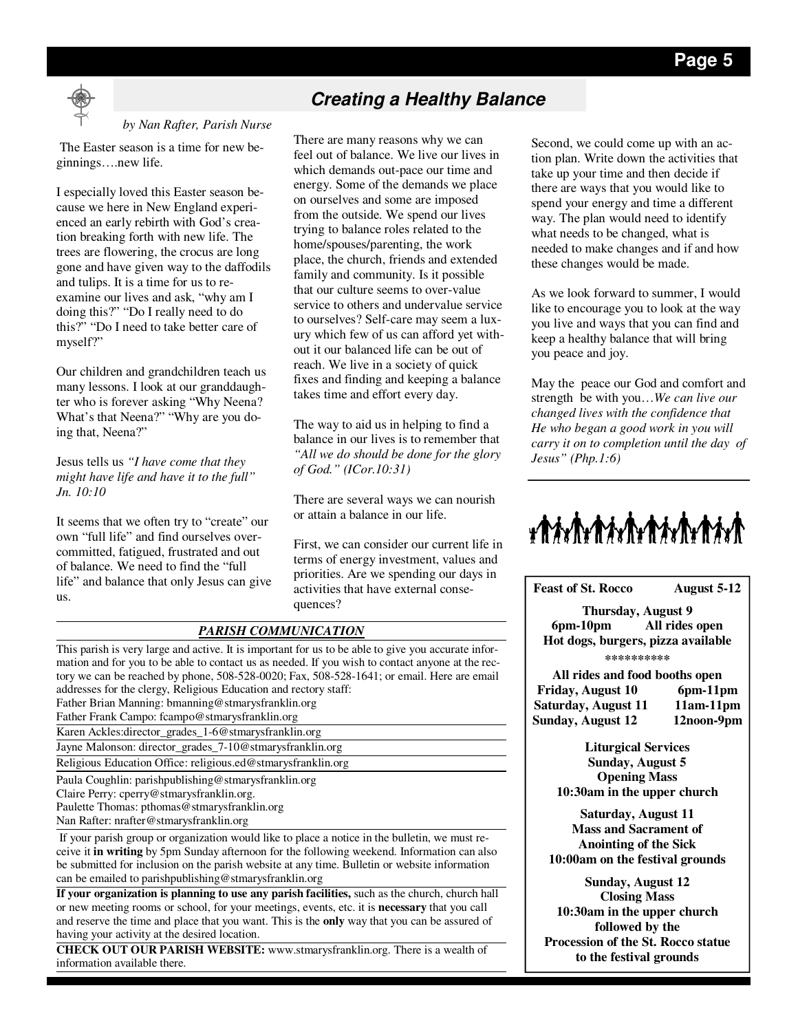

#### *by Nan Rafter, Parish Nurse*

 The Easter season is a time for new beginnings….new life.

I especially loved this Easter season because we here in New England experienced an early rebirth with God's creation breaking forth with new life. The trees are flowering, the crocus are long gone and have given way to the daffodils and tulips. It is a time for us to reexamine our lives and ask, "why am I doing this?" "Do I really need to do this?" "Do I need to take better care of myself?"

Our children and grandchildren teach us many lessons. I look at our granddaughter who is forever asking "Why Neena? What's that Neena?" "Why are you doing that, Neena?"

Jesus tells us *"I have come that they might have life and have it to the full" Jn. 10:10* 

It seems that we often try to "create" our own "full life" and find ourselves overcommitted, fatigued, frustrated and out of balance. We need to find the "full life" and balance that only Jesus can give us.

## **Creating a Healthy Balance**

There are many reasons why we can feel out of balance. We live our lives in which demands out-pace our time and energy. Some of the demands we place on ourselves and some are imposed from the outside. We spend our lives trying to balance roles related to the home/spouses/parenting, the work place, the church, friends and extended family and community. Is it possible that our culture seems to over-value service to others and undervalue service to ourselves? Self-care may seem a luxury which few of us can afford yet without it our balanced life can be out of reach. We live in a society of quick fixes and finding and keeping a balance takes time and effort every day.

The way to aid us in helping to find a balance in our lives is to remember that *"All we do should be done for the glory of God." (ICor.10:31)* 

There are several ways we can nourish or attain a balance in our life.

First, we can consider our current life in terms of energy investment, values and priorities. Are we spending our days in activities that have external consequences?

| <b>PARISH COMMUNICATION</b>                                                                                                                                                                                                                                                                                                                                     |
|-----------------------------------------------------------------------------------------------------------------------------------------------------------------------------------------------------------------------------------------------------------------------------------------------------------------------------------------------------------------|
| This parish is very large and active. It is important for us to be able to give you accurate infor-<br>mation and for you to be able to contact us as needed. If you wish to contact anyone at the rec-                                                                                                                                                         |
| tory we can be reached by phone, 508-528-0020; Fax, 508-528-1641; or email. Here are email                                                                                                                                                                                                                                                                      |
| addresses for the clergy, Religious Education and rectory staff:                                                                                                                                                                                                                                                                                                |
| Father Brian Manning: bmanning@stmarysfranklin.org                                                                                                                                                                                                                                                                                                              |
| Father Frank Campo: fcampo@stmarysfranklin.org                                                                                                                                                                                                                                                                                                                  |
| Karen Ackles: director_grades_1-6@stmarysfranklin.org                                                                                                                                                                                                                                                                                                           |
| Jayne Malonson: director_grades_7-10@stmarysfranklin.org                                                                                                                                                                                                                                                                                                        |
| Religious Education Office: religious.ed@stmarysfranklin.org                                                                                                                                                                                                                                                                                                    |
| Paula Coughlin: parishpublishing@stmarysfranklin.org                                                                                                                                                                                                                                                                                                            |
| Claire Perry: cperry@stmarysfranklin.org.                                                                                                                                                                                                                                                                                                                       |
| Paulette Thomas: pthomas@stmarysfranklin.org                                                                                                                                                                                                                                                                                                                    |
| Nan Rafter: nrafter@stmarysfranklin.org                                                                                                                                                                                                                                                                                                                         |
| If your parish group or organization would like to place a notice in the bulletin, we must re-<br>ceive it <b>in writing</b> by 5pm Sunday afternoon for the following weekend. Information can also<br>be submitted for inclusion on the parish website at any time. Bulletin or website information<br>can be emailed to parishpublishing@stmarysfranklin.org |
| If your organization is planning to use any parish facilities, such as the church, church hall                                                                                                                                                                                                                                                                  |
| or new meeting rooms or school, for your meetings, events, etc. it is <b>necessary</b> that you call                                                                                                                                                                                                                                                            |
| and reserve the time and place that you want. This is the only way that you can be assured of                                                                                                                                                                                                                                                                   |
| having your activity at the desired location.                                                                                                                                                                                                                                                                                                                   |
| <b>CURCULATE OFFICIAL DISTURBANCE</b><br>$\sim$ $\sim$ $\sim$                                                                                                                                                                                                                                                                                                   |

**CHECK OUT OUR PARISH WEBSITE:** www.stmarysfranklin.org. There is a wealth of information available there.

Second, we could come up with an action plan. Write down the activities that take up your time and then decide if there are ways that you would like to spend your energy and time a different way. The plan would need to identify what needs to be changed, what is needed to make changes and if and how these changes would be made.

As we look forward to summer, I would like to encourage you to look at the way you live and ways that you can find and keep a healthy balance that will bring you peace and joy.

May the peace our God and comfort and strength be with you…*We can live our changed lives with the confidence that He who began a good work in you will carry it on to completion until the day of Jesus" (Php.1:6)*



**Feast of St. Rocco August 5-12 Thursday, August 9 6pm-10pm All rides open Hot dogs, burgers, pizza available \*\*\*\*\*\*\*\*\*\* All rides and food booths open Friday, August 10 6pm-11pm**  Saturday, August 11 11am-11pm **Sunday, August 12 12noon-9pm Liturgical Services Sunday, August 5 Opening Mass 10:30am in the upper church Saturday, August 11 Mass and Sacrament of Anointing of the Sick 10:00am on the festival grounds Sunday, August 12 Closing Mass 10:30am in the upper church followed by the Procession of the St. Rocco statue to the festival grounds**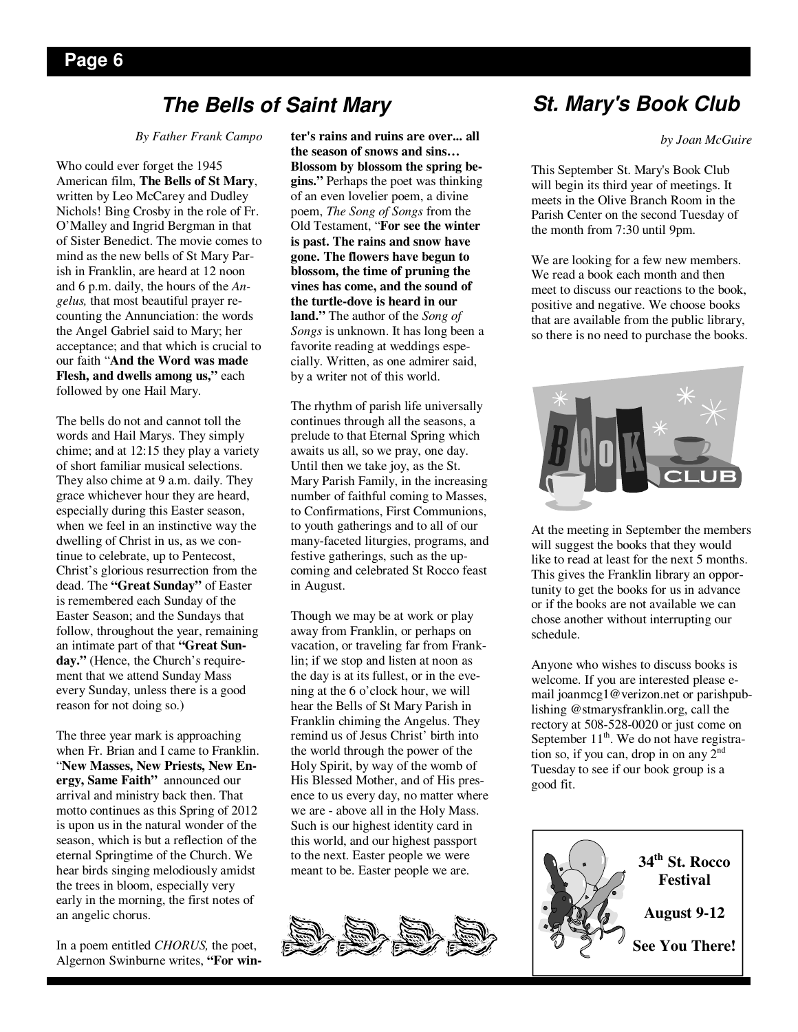## **The Bells of Saint Mary**

*By Father Frank Campo* 

Who could ever forget the 1945 American film, **The Bells of St Mary**, written by Leo McCarey and Dudley Nichols! Bing Crosby in the role of Fr. O'Malley and Ingrid Bergman in that of Sister Benedict. The movie comes to mind as the new bells of St Mary Parish in Franklin, are heard at 12 noon and 6 p.m. daily, the hours of the *Angelus,* that most beautiful prayer recounting the Annunciation: the words the Angel Gabriel said to Mary; her acceptance; and that which is crucial to our faith "**And the Word was made Flesh, and dwells among us,"** each followed by one Hail Mary.

The bells do not and cannot toll the words and Hail Marys. They simply chime; and at 12:15 they play a variety of short familiar musical selections. They also chime at 9 a.m. daily. They grace whichever hour they are heard, especially during this Easter season, when we feel in an instinctive way the dwelling of Christ in us, as we continue to celebrate, up to Pentecost, Christ's glorious resurrection from the dead. The **"Great Sunday"** of Easter is remembered each Sunday of the Easter Season; and the Sundays that follow, throughout the year, remaining an intimate part of that **"Great Sunday."** (Hence, the Church's requirement that we attend Sunday Mass every Sunday, unless there is a good reason for not doing so.)

The three year mark is approaching when Fr. Brian and I came to Franklin. "**New Masses, New Priests, New Energy, Same Faith"** announced our arrival and ministry back then. That motto continues as this Spring of 2012 is upon us in the natural wonder of the season, which is but a reflection of the eternal Springtime of the Church. We hear birds singing melodiously amidst the trees in bloom, especially very early in the morning, the first notes of an angelic chorus.

In a poem entitled *CHORUS,* the poet, Algernon Swinburne writes, **"For win-** **ter's rains and ruins are over... all the season of snows and sins… Blossom by blossom the spring begins."** Perhaps the poet was thinking of an even lovelier poem, a divine poem, *The Song of Songs* from the Old Testament, "**For see the winter is past. The rains and snow have gone. The flowers have begun to blossom, the time of pruning the vines has come, and the sound of the turtle-dove is heard in our land."** The author of the *Song of Songs* is unknown. It has long been a favorite reading at weddings especially. Written, as one admirer said, by a writer not of this world.

The rhythm of parish life universally continues through all the seasons, a prelude to that Eternal Spring which awaits us all, so we pray, one day. Until then we take joy, as the St. Mary Parish Family, in the increasing number of faithful coming to Masses, to Confirmations, First Communions, to youth gatherings and to all of our many-faceted liturgies, programs, and festive gatherings, such as the upcoming and celebrated St Rocco feast in August.

Though we may be at work or play away from Franklin, or perhaps on vacation, or traveling far from Franklin; if we stop and listen at noon as the day is at its fullest, or in the evening at the 6 o'clock hour, we will hear the Bells of St Mary Parish in Franklin chiming the Angelus. They remind us of Jesus Christ' birth into the world through the power of the Holy Spirit, by way of the womb of His Blessed Mother, and of His presence to us every day, no matter where we are - above all in the Holy Mass. Such is our highest identity card in this world, and our highest passport to the next. Easter people we were meant to be. Easter people we are.



## **St. Mary's Book Club**

*by Joan McGuire* 

This September St. Mary's Book Club will begin its third year of meetings. It meets in the Olive Branch Room in the Parish Center on the second Tuesday of the month from 7:30 until 9pm.

We are looking for a few new members. We read a book each month and then meet to discuss our reactions to the book, positive and negative. We choose books that are available from the public library, so there is no need to purchase the books.



At the meeting in September the members will suggest the books that they would like to read at least for the next 5 months. This gives the Franklin library an opportunity to get the books for us in advance or if the books are not available we can chose another without interrupting our schedule.

Anyone who wishes to discuss books is welcome. If you are interested please email joanmcg1@verizon.net or parishpublishing @stmarysfranklin.org, call the rectory at 508-528-0020 or just come on September 11<sup>th</sup>. We do not have registration so, if you can, drop in on any  $2<sup>nd</sup>$ Tuesday to see if our book group is a good fit.

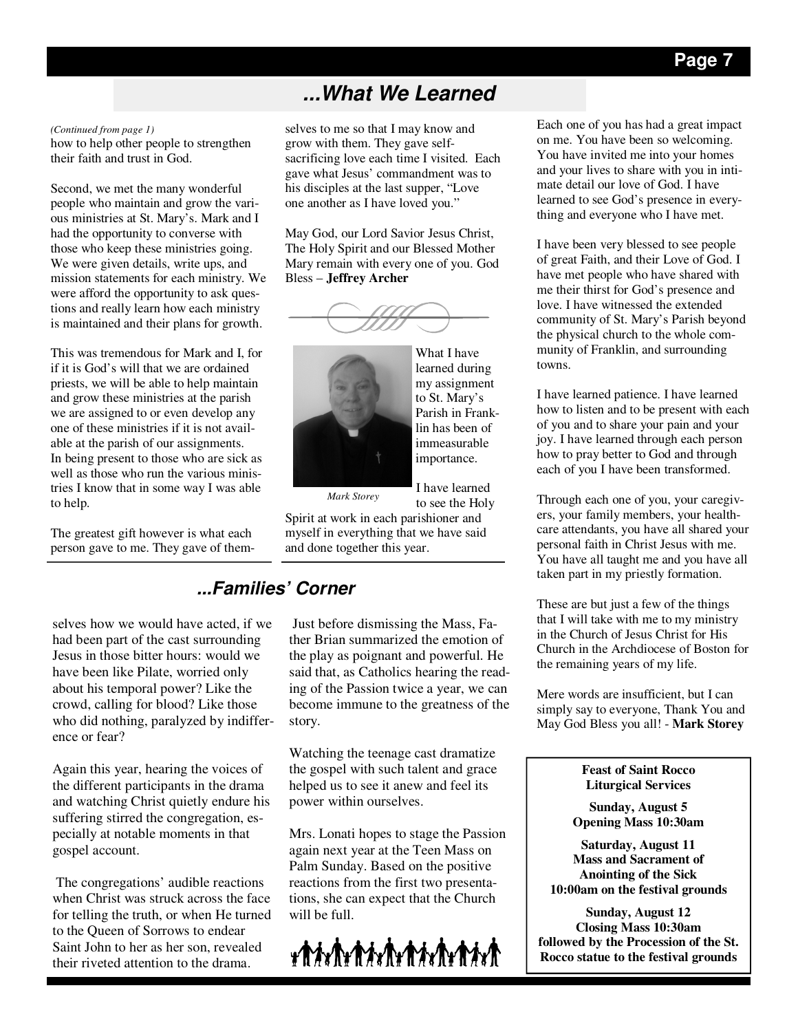## **...What We Learned**

how to help other people to strengthen their faith and trust in God. *(Continued from page 1)* 

Second, we met the many wonderful people who maintain and grow the various ministries at St. Mary's. Mark and I had the opportunity to converse with those who keep these ministries going. We were given details, write ups, and mission statements for each ministry. We were afford the opportunity to ask questions and really learn how each ministry is maintained and their plans for growth.

This was tremendous for Mark and I, for if it is God's will that we are ordained priests, we will be able to help maintain and grow these ministries at the parish we are assigned to or even develop any one of these ministries if it is not available at the parish of our assignments. In being present to those who are sick as well as those who run the various ministries I know that in some way I was able to help.

The greatest gift however is what each person gave to me. They gave of them-

selves how we would have acted, if we had been part of the cast surrounding Jesus in those bitter hours: would we have been like Pilate, worried only about his temporal power? Like the crowd, calling for blood? Like those who did nothing, paralyzed by indifference or fear?

Again this year, hearing the voices of the different participants in the drama and watching Christ quietly endure his suffering stirred the congregation, especially at notable moments in that gospel account.

 The congregations' audible reactions when Christ was struck across the face for telling the truth, or when He turned to the Queen of Sorrows to endear Saint John to her as her son, revealed their riveted attention to the drama.

selves to me so that I may know and grow with them. They gave selfsacrificing love each time I visited. Each gave what Jesus' commandment was to his disciples at the last supper, "Love one another as I have loved you."

May God, our Lord Savior Jesus Christ, The Holy Spirit and our Blessed Mother Mary remain with every one of you. God Bless – **Jeffrey Archer** 





my assignment to St. Mary's Parish in Franklin has been of immeasurable importance.

I have learned

What I have learned during

*Mark Storey* 

to see the Holy Spirit at work in each parishioner and myself in everything that we have said and done together this year.

## **...Families' Corner**

 Just before dismissing the Mass, Father Brian summarized the emotion of the play as poignant and powerful. He said that, as Catholics hearing the reading of the Passion twice a year, we can become immune to the greatness of the story.

Watching the teenage cast dramatize the gospel with such talent and grace helped us to see it anew and feel its power within ourselves.

Mrs. Lonati hopes to stage the Passion again next year at the Teen Mass on Palm Sunday. Based on the positive reactions from the first two presentations, she can expect that the Church will be full.



Each one of you has had a great impact on me. You have been so welcoming. You have invited me into your homes and your lives to share with you in intimate detail our love of God. I have learned to see God's presence in everything and everyone who I have met.

I have been very blessed to see people of great Faith, and their Love of God. I have met people who have shared with me their thirst for God's presence and love. I have witnessed the extended community of St. Mary's Parish beyond the physical church to the whole community of Franklin, and surrounding towns.

I have learned patience. I have learned how to listen and to be present with each of you and to share your pain and your joy. I have learned through each person how to pray better to God and through each of you I have been transformed.

Through each one of you, your caregivers, your family members, your healthcare attendants, you have all shared your personal faith in Christ Jesus with me. You have all taught me and you have all taken part in my priestly formation.

These are but just a few of the things that I will take with me to my ministry in the Church of Jesus Christ for His Church in the Archdiocese of Boston for the remaining years of my life.

Mere words are insufficient, but I can simply say to everyone, Thank You and May God Bless you all! - **Mark Storey**

> **Feast of Saint Rocco Liturgical Services**

**Sunday, August 5 Opening Mass 10:30am** 

**Saturday, August 11 Mass and Sacrament of Anointing of the Sick 10:00am on the festival grounds** 

**Sunday, August 12 Closing Mass 10:30am followed by the Procession of the St. Rocco statue to the festival grounds**